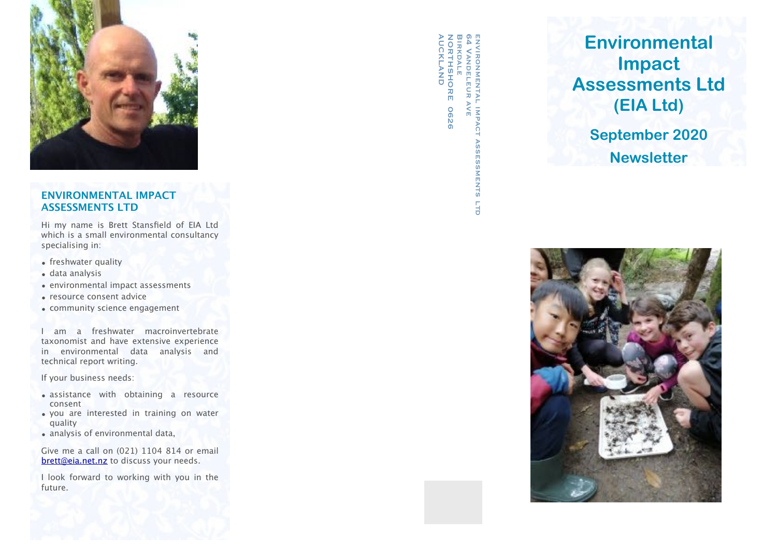

# **ENVIRONMENTAL IMPACT ASSESSMENTS LTD**

Hi my name is Brett Stansfield of EIA Ltd which is a small environmental consultancy specialising in:

- freshwater quality
- data analysis
- environmental impact assessments
- resource consent advice
- community science engagement

I am a freshwater macroinvertebrate taxonomist and have extensive experience in environmental data analysis and technical report writing.

If your business needs:

- assistance with obtaining a resource consent
- you are interested in training on water quality
- analysis of environmental data,

Give me a call on (021) 1104 814 or email [brett@eia.net.nz](mailto:brett@eia.net.nz) to discuss your needs.

I look forward to working with you in the future.

AUCKLAND NORTHSHORE 0626 **BIRKDALE** 64 Vandeleur ave environmental impact assessments later assessments later assessments later assessments later assessments later 刀 回 **0626** ິຕິ ESSMENTS TTD.

# **Environmental Impact Assessments Ltd (EIA Ltd)**

**September 2020 Newsletter**